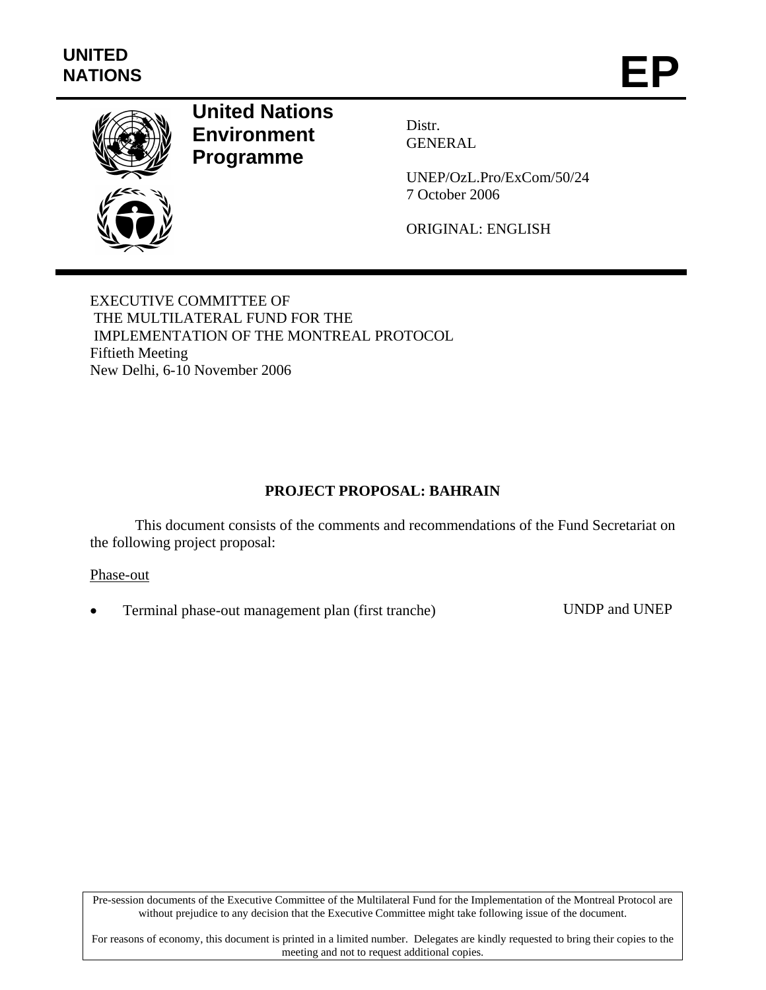

# **United Nations Environment Programme**

Distr. GENERAL

UNEP/OzL.Pro/ExCom/50/24 7 October 2006

ORIGINAL: ENGLISH

EXECUTIVE COMMITTEE OF THE MULTILATERAL FUND FOR THE IMPLEMENTATION OF THE MONTREAL PROTOCOL Fiftieth Meeting New Delhi, 6-10 November 2006

## **PROJECT PROPOSAL: BAHRAIN**

This document consists of the comments and recommendations of the Fund Secretariat on the following project proposal:

Phase-out

• Terminal phase-out management plan (first tranche) UNDP and UNEP

Pre-session documents of the Executive Committee of the Multilateral Fund for the Implementation of the Montreal Protocol are without prejudice to any decision that the Executive Committee might take following issue of the document.

For reasons of economy, this document is printed in a limited number. Delegates are kindly requested to bring their copies to the meeting and not to request additional copies.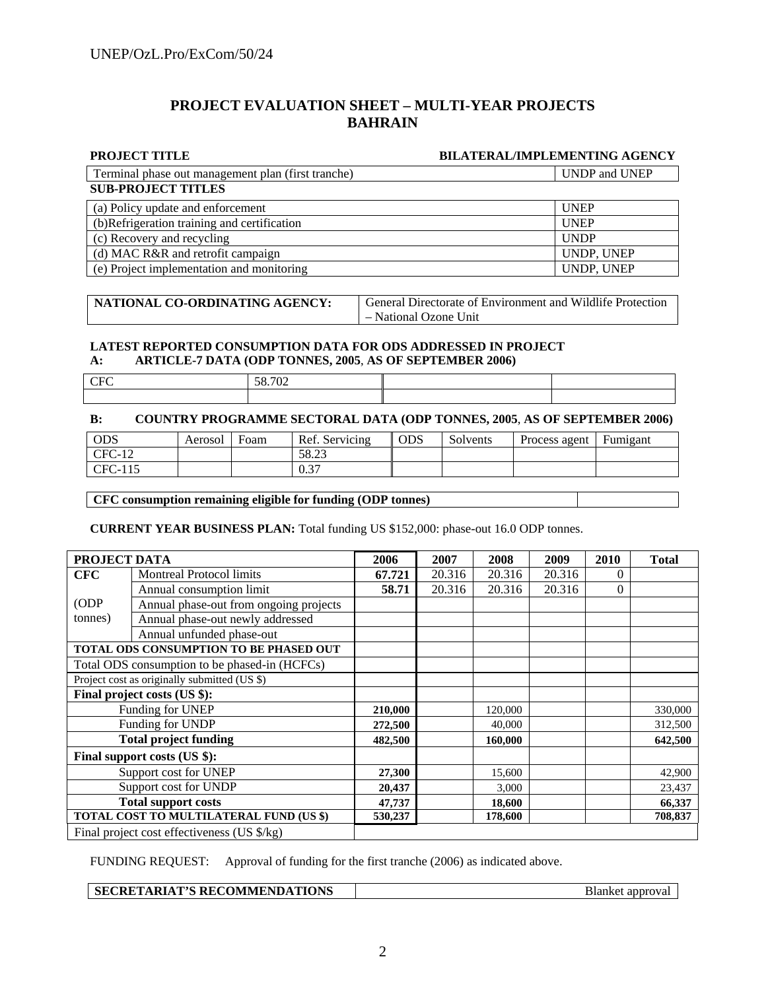#### **PROJECT EVALUATION SHEET – MULTI-YEAR PROJECTS BAHRAIN**

#### **PROJECT TITLE BILATERAL/IMPLEMENTING AGENCY**

| Terminal phase out management plan (first tranche) | UNDP and UNEP |
|----------------------------------------------------|---------------|
| <b>SUB-PROJECT TITLES</b>                          |               |
| (a) Policy update and enforcement                  | <b>UNEP</b>   |
| (b) Refrigeration training and certification       | <b>UNEP</b>   |
| (c) Recovery and recycling                         | <b>UNDP</b>   |
| (d) MAC R&R and retrofit campaign                  | UNDP, UNEP    |
| (e) Project implementation and monitoring          | UNDP, UNEP    |

| NATIONAL CO-ORDINATING AGENCY: | <b>General Directorate of Environment and Wildlife Protection</b> |
|--------------------------------|-------------------------------------------------------------------|
|                                | - National Ozone Unit                                             |

#### **LATEST REPORTED CONSUMPTION DATA FOR ODS ADDRESSED IN PROJECT A: ARTICLE-7 DATA (ODP TONNES, 2005**, **AS OF SEPTEMBER 2006)**

| -- | 50.702 |  |
|----|--------|--|
|    |        |  |

#### **B: COUNTRY PROGRAMME SECTORAL DATA (ODP TONNES, 2005**, **AS OF SEPTEMBER 2006)**

| <b>ODS</b> | Aerosol | Foam | Ref. Servicing | <b>ODS</b> | Solvents | Process agent | Fumigant |
|------------|---------|------|----------------|------------|----------|---------------|----------|
| $CFC-12$   |         |      | 58.23          |            |          |               |          |
| CFC-115    |         |      | 0.27<br>U.J    |            |          |               |          |

#### **CFC consumption remaining eligible for funding (ODP tonnes)**

**CURRENT YEAR BUSINESS PLAN:** Total funding US \$152,000: phase-out 16.0 ODP tonnes.

| PROJECT DATA                 |                                               | 2006    | 2007   | 2008    | 2009   | 2010     | <b>Total</b> |
|------------------------------|-----------------------------------------------|---------|--------|---------|--------|----------|--------------|
| <b>CFC</b>                   | <b>Montreal Protocol limits</b>               | 67.721  | 20.316 | 20.316  | 20.316 | 0        |              |
|                              | Annual consumption limit                      | 58.71   | 20.316 | 20.316  | 20.316 | $\Omega$ |              |
| (ODP                         | Annual phase-out from ongoing projects        |         |        |         |        |          |              |
| tonnes)                      | Annual phase-out newly addressed              |         |        |         |        |          |              |
|                              | Annual unfunded phase-out                     |         |        |         |        |          |              |
|                              | TOTAL ODS CONSUMPTION TO BE PHASED OUT        |         |        |         |        |          |              |
|                              | Total ODS consumption to be phased-in (HCFCs) |         |        |         |        |          |              |
|                              | Project cost as originally submitted (US \$)  |         |        |         |        |          |              |
|                              | Final project costs (US \$):                  |         |        |         |        |          |              |
| Funding for UNEP             |                                               | 210,000 |        | 120,000 |        |          | 330,000      |
| Funding for UNDP             |                                               | 272,500 |        | 40,000  |        |          | 312,500      |
| <b>Total project funding</b> |                                               | 482,500 |        | 160,000 |        |          | 642,500      |
|                              | Final support costs (US \$):                  |         |        |         |        |          |              |
|                              | Support cost for UNEP                         | 27,300  |        | 15,600  |        |          | 42,900       |
| Support cost for UNDP        |                                               | 20,437  |        | 3,000   |        |          | 23,437       |
| <b>Total support costs</b>   |                                               | 47,737  |        | 18,600  |        |          | 66,337       |
|                              | TOTAL COST TO MULTILATERAL FUND (US \$)       | 530,237 |        | 178,600 |        |          | 708,837      |
|                              | Final project cost effectiveness (US \$/kg)   |         |        |         |        |          |              |

FUNDING REQUEST: Approval of funding for the first tranche (2006) as indicated above.

#### **SECRETARIAT'S RECOMMENDATIONS** Blanket approval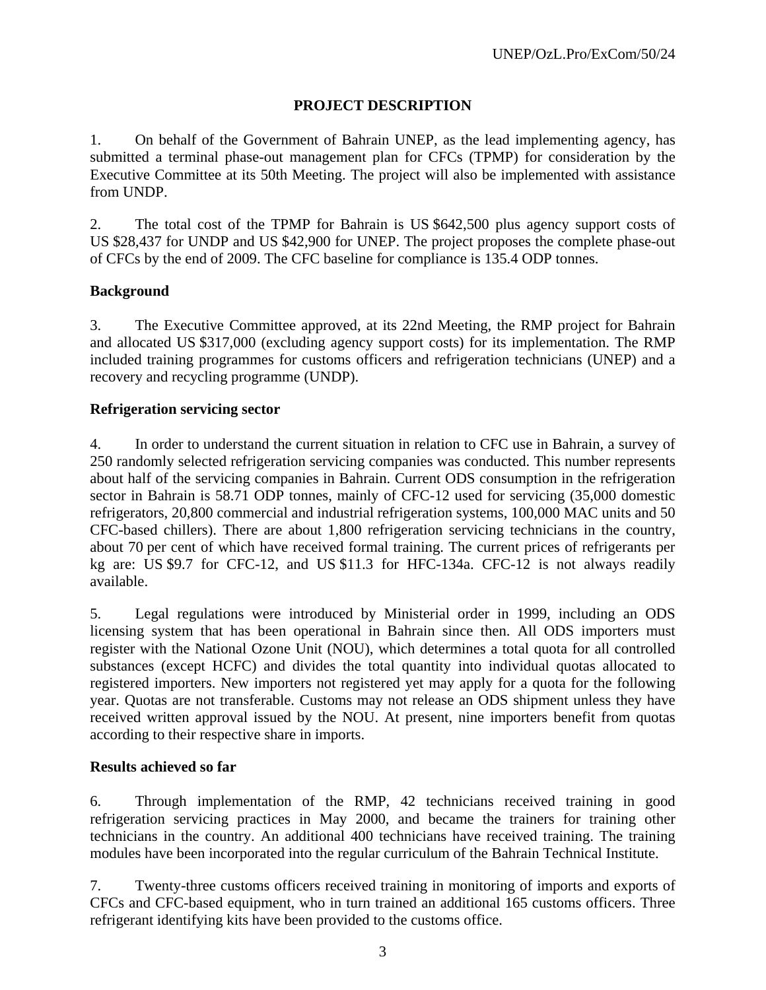## **PROJECT DESCRIPTION**

1. On behalf of the Government of Bahrain UNEP, as the lead implementing agency, has submitted a terminal phase-out management plan for CFCs (TPMP) for consideration by the Executive Committee at its 50th Meeting. The project will also be implemented with assistance from UNDP.

2. The total cost of the TPMP for Bahrain is US \$642,500 plus agency support costs of US \$28,437 for UNDP and US \$42,900 for UNEP. The project proposes the complete phase-out of CFCs by the end of 2009. The CFC baseline for compliance is 135.4 ODP tonnes.

## **Background**

3. The Executive Committee approved, at its 22nd Meeting, the RMP project for Bahrain and allocated US \$317,000 (excluding agency support costs) for its implementation. The RMP included training programmes for customs officers and refrigeration technicians (UNEP) and a recovery and recycling programme (UNDP).

#### **Refrigeration servicing sector**

4. In order to understand the current situation in relation to CFC use in Bahrain, a survey of 250 randomly selected refrigeration servicing companies was conducted. This number represents about half of the servicing companies in Bahrain. Current ODS consumption in the refrigeration sector in Bahrain is 58.71 ODP tonnes, mainly of CFC-12 used for servicing (35,000 domestic refrigerators, 20,800 commercial and industrial refrigeration systems, 100,000 MAC units and 50 CFC-based chillers). There are about 1,800 refrigeration servicing technicians in the country, about 70 per cent of which have received formal training. The current prices of refrigerants per kg are: US \$9.7 for CFC-12, and US \$11.3 for HFC-134a. CFC-12 is not always readily available.

5. Legal regulations were introduced by Ministerial order in 1999, including an ODS licensing system that has been operational in Bahrain since then. All ODS importers must register with the National Ozone Unit (NOU), which determines a total quota for all controlled substances (except HCFC) and divides the total quantity into individual quotas allocated to registered importers. New importers not registered yet may apply for a quota for the following year. Quotas are not transferable. Customs may not release an ODS shipment unless they have received written approval issued by the NOU. At present, nine importers benefit from quotas according to their respective share in imports.

#### **Results achieved so far**

6. Through implementation of the RMP, 42 technicians received training in good refrigeration servicing practices in May 2000, and became the trainers for training other technicians in the country. An additional 400 technicians have received training. The training modules have been incorporated into the regular curriculum of the Bahrain Technical Institute.

7. Twenty-three customs officers received training in monitoring of imports and exports of CFCs and CFC-based equipment, who in turn trained an additional 165 customs officers. Three refrigerant identifying kits have been provided to the customs office.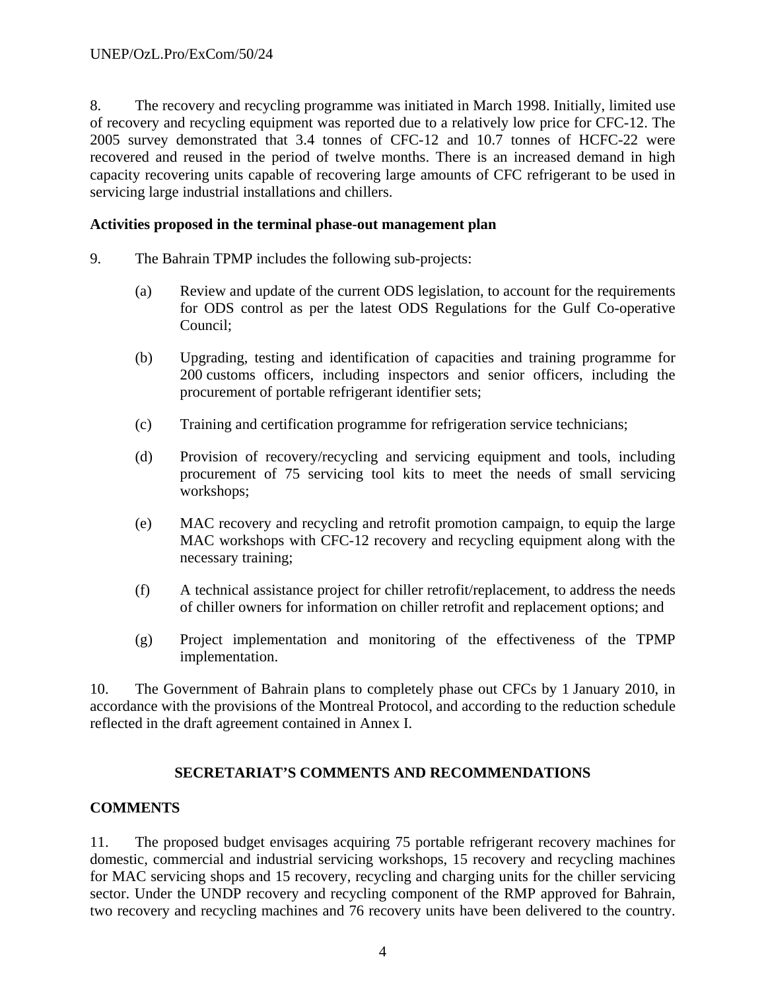8. The recovery and recycling programme was initiated in March 1998. Initially, limited use of recovery and recycling equipment was reported due to a relatively low price for CFC-12. The 2005 survey demonstrated that 3.4 tonnes of CFC-12 and 10.7 tonnes of HCFC-22 were recovered and reused in the period of twelve months. There is an increased demand in high capacity recovering units capable of recovering large amounts of CFC refrigerant to be used in servicing large industrial installations and chillers.

#### **Activities proposed in the terminal phase-out management plan**

- 9. The Bahrain TPMP includes the following sub-projects:
	- (a) Review and update of the current ODS legislation, to account for the requirements for ODS control as per the latest ODS Regulations for the Gulf Co-operative Council;
	- (b) Upgrading, testing and identification of capacities and training programme for 200 customs officers, including inspectors and senior officers, including the procurement of portable refrigerant identifier sets;
	- (c) Training and certification programme for refrigeration service technicians;
	- (d) Provision of recovery/recycling and servicing equipment and tools, including procurement of 75 servicing tool kits to meet the needs of small servicing workshops;
	- (e) MAC recovery and recycling and retrofit promotion campaign, to equip the large MAC workshops with CFC-12 recovery and recycling equipment along with the necessary training;
	- (f) A technical assistance project for chiller retrofit/replacement, to address the needs of chiller owners for information on chiller retrofit and replacement options; and
	- (g) Project implementation and monitoring of the effectiveness of the TPMP implementation.

10. The Government of Bahrain plans to completely phase out CFCs by 1 January 2010, in accordance with the provisions of the Montreal Protocol, and according to the reduction schedule reflected in the draft agreement contained in Annex I.

#### **SECRETARIAT'S COMMENTS AND RECOMMENDATIONS**

#### **COMMENTS**

11. The proposed budget envisages acquiring 75 portable refrigerant recovery machines for domestic, commercial and industrial servicing workshops, 15 recovery and recycling machines for MAC servicing shops and 15 recovery, recycling and charging units for the chiller servicing sector. Under the UNDP recovery and recycling component of the RMP approved for Bahrain, two recovery and recycling machines and 76 recovery units have been delivered to the country.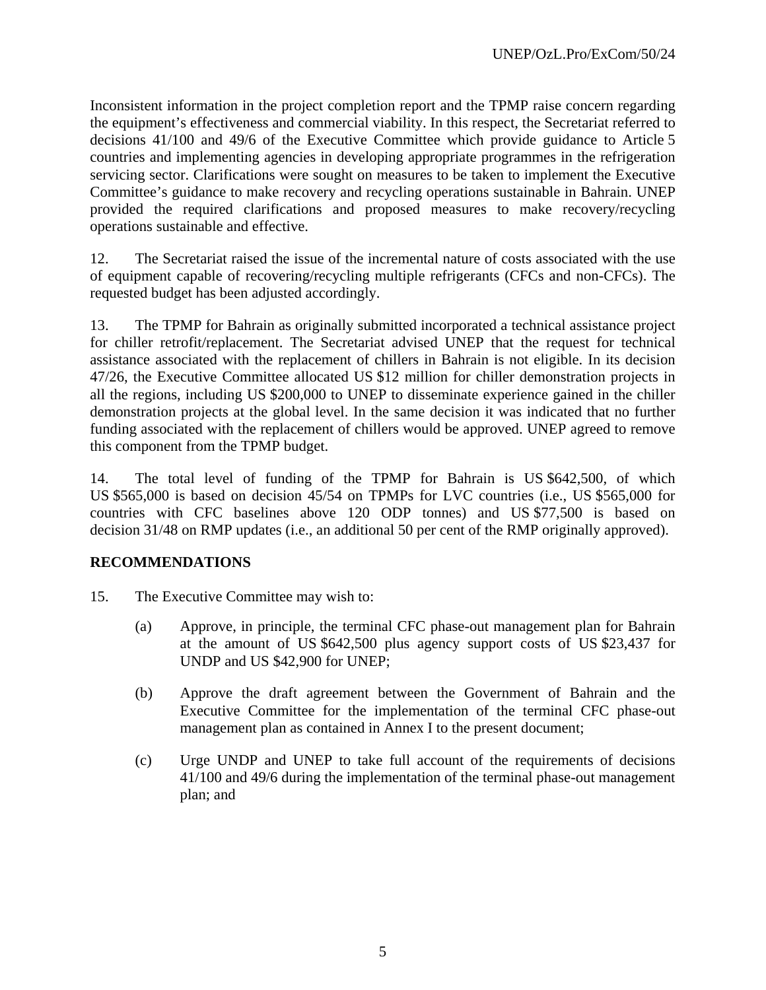Inconsistent information in the project completion report and the TPMP raise concern regarding the equipment's effectiveness and commercial viability. In this respect, the Secretariat referred to decisions 41/100 and 49/6 of the Executive Committee which provide guidance to Article 5 countries and implementing agencies in developing appropriate programmes in the refrigeration servicing sector. Clarifications were sought on measures to be taken to implement the Executive Committee's guidance to make recovery and recycling operations sustainable in Bahrain. UNEP provided the required clarifications and proposed measures to make recovery/recycling operations sustainable and effective.

12. The Secretariat raised the issue of the incremental nature of costs associated with the use of equipment capable of recovering/recycling multiple refrigerants (CFCs and non-CFCs). The requested budget has been adjusted accordingly.

13. The TPMP for Bahrain as originally submitted incorporated a technical assistance project for chiller retrofit/replacement. The Secretariat advised UNEP that the request for technical assistance associated with the replacement of chillers in Bahrain is not eligible. In its decision 47/26, the Executive Committee allocated US \$12 million for chiller demonstration projects in all the regions, including US \$200,000 to UNEP to disseminate experience gained in the chiller demonstration projects at the global level. In the same decision it was indicated that no further funding associated with the replacement of chillers would be approved. UNEP agreed to remove this component from the TPMP budget.

14. The total level of funding of the TPMP for Bahrain is US \$642,500, of which US \$565,000 is based on decision 45/54 on TPMPs for LVC countries (i.e., US \$565,000 for countries with CFC baselines above 120 ODP tonnes) and US \$77,500 is based on decision 31/48 on RMP updates (i.e., an additional 50 per cent of the RMP originally approved).

#### **RECOMMENDATIONS**

- 15. The Executive Committee may wish to:
	- (a) Approve, in principle, the terminal CFC phase-out management plan for Bahrain at the amount of US \$642,500 plus agency support costs of US \$23,437 for UNDP and US \$42,900 for UNEP;
	- (b) Approve the draft agreement between the Government of Bahrain and the Executive Committee for the implementation of the terminal CFC phase-out management plan as contained in Annex I to the present document;
	- (c) Urge UNDP and UNEP to take full account of the requirements of decisions 41/100 and 49/6 during the implementation of the terminal phase-out management plan; and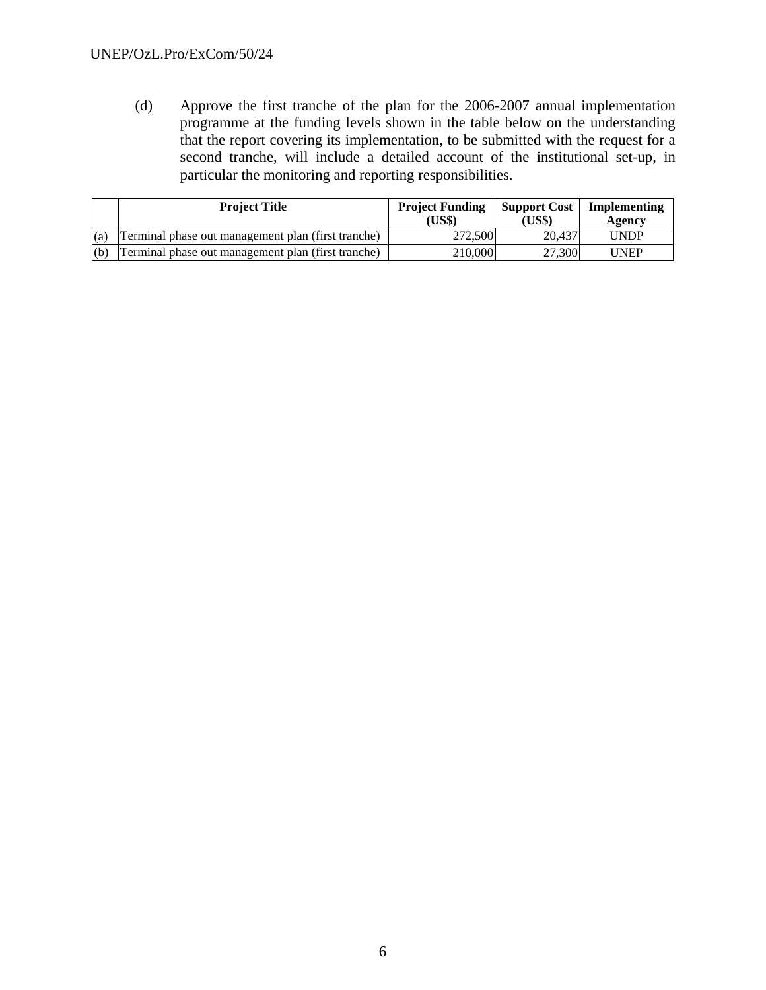(d) Approve the first tranche of the plan for the 2006-2007 annual implementation programme at the funding levels shown in the table below on the understanding that the report covering its implementation, to be submitted with the request for a second tranche, will include a detailed account of the institutional set-up, in particular the monitoring and reporting responsibilities.

|     | <b>Project Title</b>                               | <b>Project Funding</b><br>(US\$) | <b>Support Cost</b><br>(US\$) | Implementing<br>Agency |
|-----|----------------------------------------------------|----------------------------------|-------------------------------|------------------------|
| (a) | Terminal phase out management plan (first tranche) | 272,500                          | 20.437                        | <b>UNDP</b>            |
| (b) | Terminal phase out management plan (first tranche) | 210,000                          | 27,300                        | UNEP                   |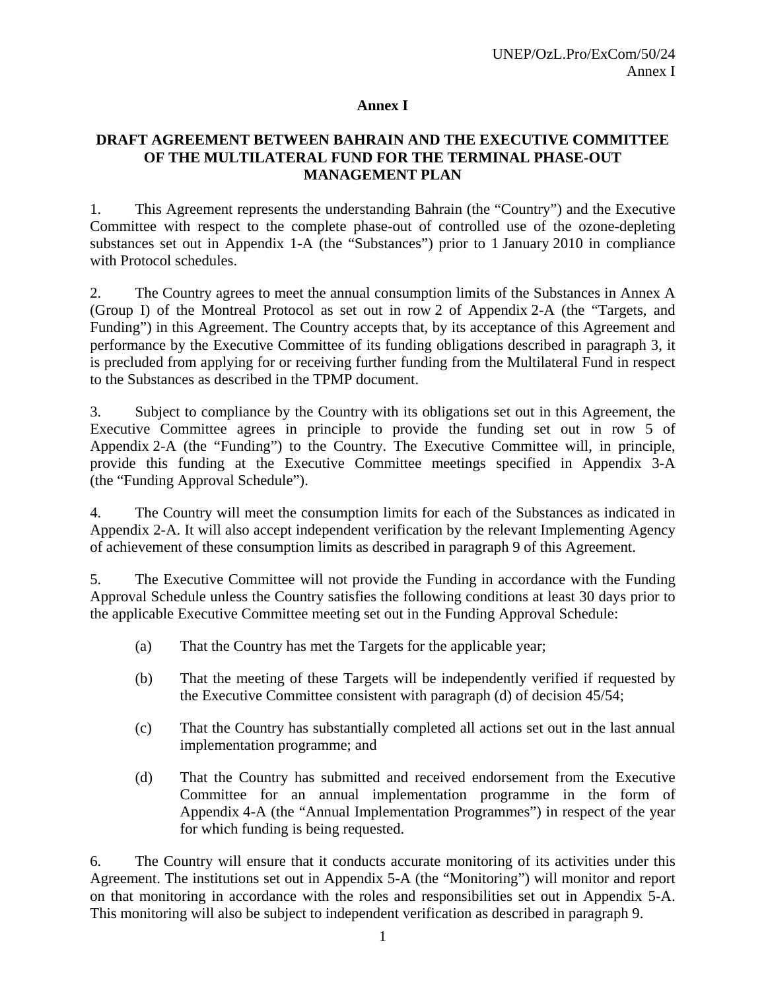#### **Annex I**

#### **DRAFT AGREEMENT BETWEEN BAHRAIN AND THE EXECUTIVE COMMITTEE OF THE MULTILATERAL FUND FOR THE TERMINAL PHASE-OUT MANAGEMENT PLAN**

1. This Agreement represents the understanding Bahrain (the "Country") and the Executive Committee with respect to the complete phase-out of controlled use of the ozone-depleting substances set out in Appendix 1-A (the "Substances") prior to 1 January 2010 in compliance with Protocol schedules.

2. The Country agrees to meet the annual consumption limits of the Substances in Annex A (Group I) of the Montreal Protocol as set out in row 2 of Appendix 2-A (the "Targets, and Funding") in this Agreement. The Country accepts that, by its acceptance of this Agreement and performance by the Executive Committee of its funding obligations described in paragraph 3, it is precluded from applying for or receiving further funding from the Multilateral Fund in respect to the Substances as described in the TPMP document.

3. Subject to compliance by the Country with its obligations set out in this Agreement, the Executive Committee agrees in principle to provide the funding set out in row 5 of Appendix 2-A (the "Funding") to the Country. The Executive Committee will, in principle, provide this funding at the Executive Committee meetings specified in Appendix 3-A (the "Funding Approval Schedule").

4. The Country will meet the consumption limits for each of the Substances as indicated in Appendix 2-A. It will also accept independent verification by the relevant Implementing Agency of achievement of these consumption limits as described in paragraph 9 of this Agreement.

5. The Executive Committee will not provide the Funding in accordance with the Funding Approval Schedule unless the Country satisfies the following conditions at least 30 days prior to the applicable Executive Committee meeting set out in the Funding Approval Schedule:

- (a) That the Country has met the Targets for the applicable year;
- (b) That the meeting of these Targets will be independently verified if requested by the Executive Committee consistent with paragraph (d) of decision 45/54;
- (c) That the Country has substantially completed all actions set out in the last annual implementation programme; and
- (d) That the Country has submitted and received endorsement from the Executive Committee for an annual implementation programme in the form of Appendix 4-A (the "Annual Implementation Programmes") in respect of the year for which funding is being requested.

6. The Country will ensure that it conducts accurate monitoring of its activities under this Agreement. The institutions set out in Appendix 5-A (the "Monitoring") will monitor and report on that monitoring in accordance with the roles and responsibilities set out in Appendix 5-A. This monitoring will also be subject to independent verification as described in paragraph 9.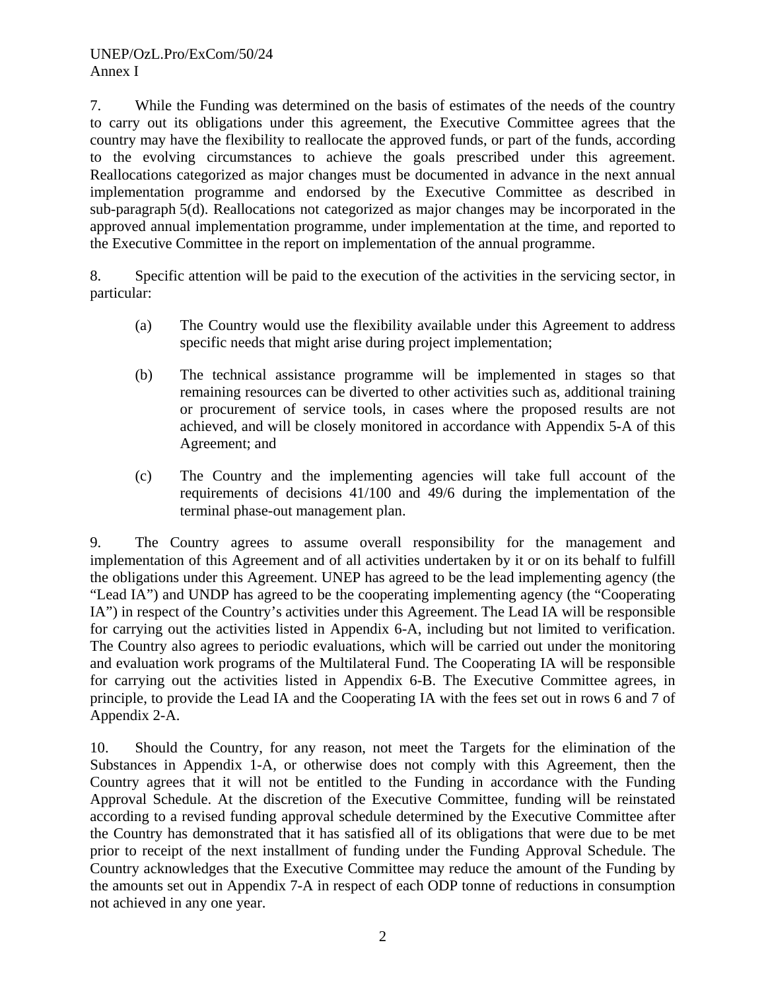7. While the Funding was determined on the basis of estimates of the needs of the country to carry out its obligations under this agreement, the Executive Committee agrees that the country may have the flexibility to reallocate the approved funds, or part of the funds, according to the evolving circumstances to achieve the goals prescribed under this agreement. Reallocations categorized as major changes must be documented in advance in the next annual implementation programme and endorsed by the Executive Committee as described in sub-paragraph 5(d). Reallocations not categorized as major changes may be incorporated in the approved annual implementation programme, under implementation at the time, and reported to the Executive Committee in the report on implementation of the annual programme.

8. Specific attention will be paid to the execution of the activities in the servicing sector, in particular:

- (a) The Country would use the flexibility available under this Agreement to address specific needs that might arise during project implementation;
- (b) The technical assistance programme will be implemented in stages so that remaining resources can be diverted to other activities such as, additional training or procurement of service tools, in cases where the proposed results are not achieved, and will be closely monitored in accordance with Appendix 5-A of this Agreement; and
- (c) The Country and the implementing agencies will take full account of the requirements of decisions 41/100 and 49/6 during the implementation of the terminal phase-out management plan.

9. The Country agrees to assume overall responsibility for the management and implementation of this Agreement and of all activities undertaken by it or on its behalf to fulfill the obligations under this Agreement. UNEP has agreed to be the lead implementing agency (the "Lead IA") and UNDP has agreed to be the cooperating implementing agency (the "Cooperating IA") in respect of the Country's activities under this Agreement. The Lead IA will be responsible for carrying out the activities listed in Appendix 6-A, including but not limited to verification. The Country also agrees to periodic evaluations, which will be carried out under the monitoring and evaluation work programs of the Multilateral Fund. The Cooperating IA will be responsible for carrying out the activities listed in Appendix 6-B. The Executive Committee agrees, in principle, to provide the Lead IA and the Cooperating IA with the fees set out in rows 6 and 7 of Appendix 2-A.

10. Should the Country, for any reason, not meet the Targets for the elimination of the Substances in Appendix 1-A, or otherwise does not comply with this Agreement, then the Country agrees that it will not be entitled to the Funding in accordance with the Funding Approval Schedule. At the discretion of the Executive Committee, funding will be reinstated according to a revised funding approval schedule determined by the Executive Committee after the Country has demonstrated that it has satisfied all of its obligations that were due to be met prior to receipt of the next installment of funding under the Funding Approval Schedule. The Country acknowledges that the Executive Committee may reduce the amount of the Funding by the amounts set out in Appendix 7-A in respect of each ODP tonne of reductions in consumption not achieved in any one year.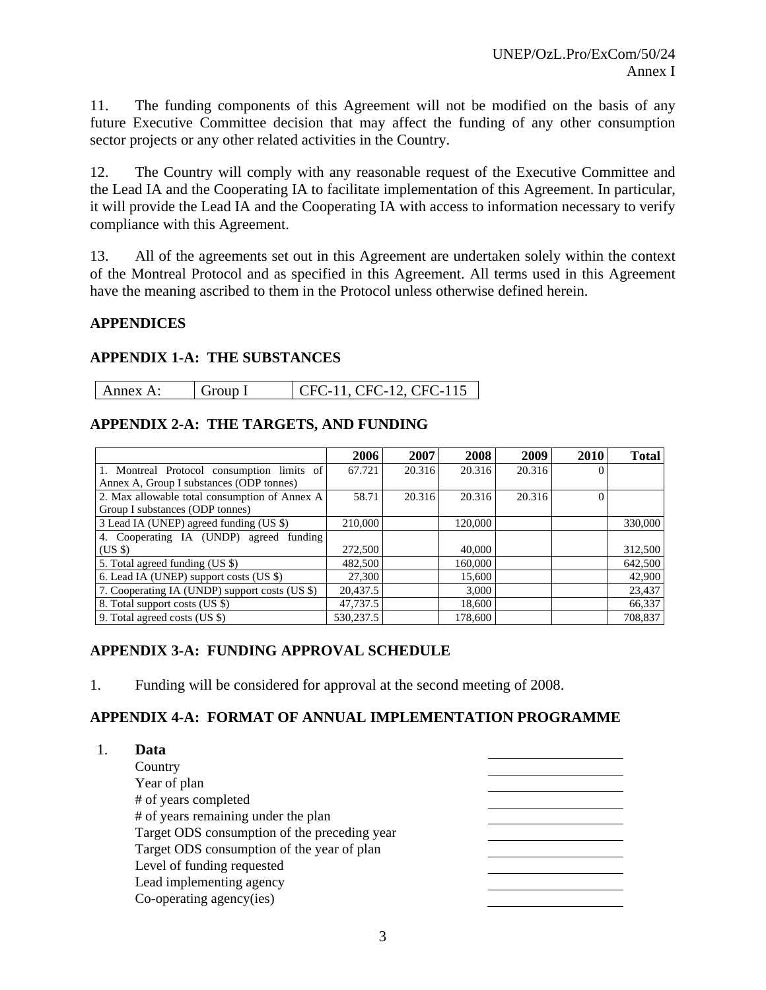11. The funding components of this Agreement will not be modified on the basis of any future Executive Committee decision that may affect the funding of any other consumption sector projects or any other related activities in the Country.

12. The Country will comply with any reasonable request of the Executive Committee and the Lead IA and the Cooperating IA to facilitate implementation of this Agreement. In particular, it will provide the Lead IA and the Cooperating IA with access to information necessary to verify compliance with this Agreement.

13. All of the agreements set out in this Agreement are undertaken solely within the context of the Montreal Protocol and as specified in this Agreement. All terms used in this Agreement have the meaning ascribed to them in the Protocol unless otherwise defined herein.

#### **APPENDICES**

#### **APPENDIX 1-A: THE SUBSTANCES**

| Annex A: | Group I | CFC-11, CFC-12, CFC-115 |
|----------|---------|-------------------------|
|----------|---------|-------------------------|

#### **APPENDIX 2-A: THE TARGETS, AND FUNDING**

|                                                | 2006      | 2007   | 2008    | 2009   | <b>2010</b>  | <b>Total</b> |
|------------------------------------------------|-----------|--------|---------|--------|--------------|--------------|
| 1. Montreal Protocol consumption limits of     | 67.721    | 20.316 | 20.316  | 20.316 | $\Omega$     |              |
| Annex A, Group I substances (ODP tonnes)       |           |        |         |        |              |              |
| 2. Max allowable total consumption of Annex A  | 58.71     | 20.316 | 20.316  | 20.316 | $\mathbf{0}$ |              |
| Group I substances (ODP tonnes)                |           |        |         |        |              |              |
| 3 Lead IA (UNEP) agreed funding (US \$)        | 210,000   |        | 120,000 |        |              | 330,000      |
| 4. Cooperating IA (UNDP) agreed funding        |           |        |         |        |              |              |
| (USS)                                          | 272,500   |        | 40,000  |        |              | 312,500      |
| 5. Total agreed funding (US \$)                | 482,500   |        | 160,000 |        |              | 642,500      |
| 6. Lead IA (UNEP) support costs (US \$)        | 27,300    |        | 15,600  |        |              | 42,900       |
| 7. Cooperating IA (UNDP) support costs (US \$) | 20,437.5  |        | 3,000   |        |              | 23,437       |
| 8. Total support costs (US \$)                 | 47,737.5  |        | 18,600  |        |              | 66,337       |
| 9. Total agreed costs (US \$)                  | 530.237.5 |        | 178.600 |        |              | 708,837      |

#### **APPENDIX 3-A: FUNDING APPROVAL SCHEDULE**

1. Funding will be considered for approval at the second meeting of 2008.

## **APPENDIX 4-A: FORMAT OF ANNUAL IMPLEMENTATION PROGRAMME**

| Data                                         |  |
|----------------------------------------------|--|
| Country                                      |  |
| Year of plan                                 |  |
| # of years completed                         |  |
| # of years remaining under the plan          |  |
| Target ODS consumption of the preceding year |  |
| Target ODS consumption of the year of plan   |  |
| Level of funding requested                   |  |
| Lead implementing agency                     |  |
| Co-operating agency(ies)                     |  |
|                                              |  |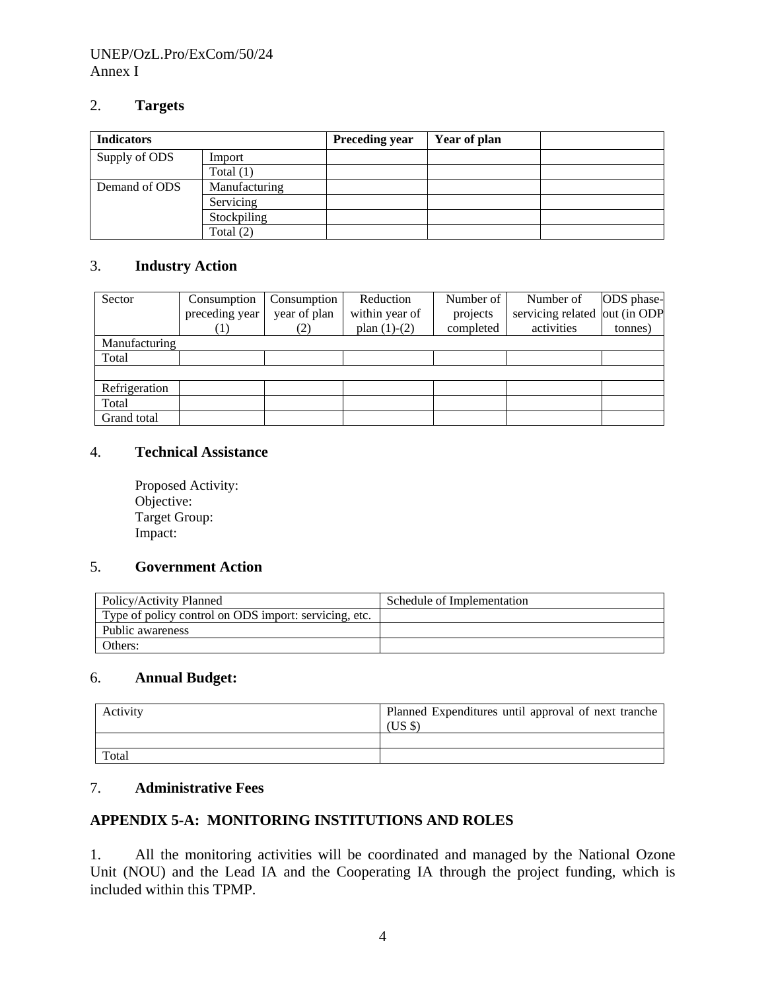#### UNEP/OzL.Pro/ExCom/50/24 Annex I

#### 2. **Targets**

| <b>Indicators</b> |               | <b>Preceding year</b> | Year of plan |  |
|-------------------|---------------|-----------------------|--------------|--|
| Supply of ODS     | Import        |                       |              |  |
|                   | Total $(1)$   |                       |              |  |
| Demand of ODS     | Manufacturing |                       |              |  |
|                   | Servicing     |                       |              |  |
|                   | Stockpiling   |                       |              |  |
|                   | Total $(2)$   |                       |              |  |

#### 3. **Industry Action**

| Sector        | Consumption    | Consumption  | Reduction      | Number of | Number of                     | ODS phase- |
|---------------|----------------|--------------|----------------|-----------|-------------------------------|------------|
|               | preceding year | year of plan | within year of | projects  | servicing related out (in ODP |            |
|               |                | 2)           | plan $(1)-(2)$ | completed | activities                    | tonnes)    |
| Manufacturing |                |              |                |           |                               |            |
| Total         |                |              |                |           |                               |            |
|               |                |              |                |           |                               |            |
| Refrigeration |                |              |                |           |                               |            |
| Total         |                |              |                |           |                               |            |
| Grand total   |                |              |                |           |                               |            |

#### 4. **Technical Assistance**

Proposed Activity: Objective: Target Group: Impact:

#### 5. **Government Action**

| Policy/Activity Planned                               | Schedule of Implementation |
|-------------------------------------------------------|----------------------------|
| Type of policy control on ODS import: servicing, etc. |                            |
| Public awareness                                      |                            |
| Others:                                               |                            |

## 6. **Annual Budget:**

| Activity | Planned Expenditures until approval of next tranche<br>USS |
|----------|------------------------------------------------------------|
|          |                                                            |
| Total    |                                                            |

#### 7. **Administrative Fees**

## **APPENDIX 5-A: MONITORING INSTITUTIONS AND ROLES**

1. All the monitoring activities will be coordinated and managed by the National Ozone Unit (NOU) and the Lead IA and the Cooperating IA through the project funding, which is included within this TPMP.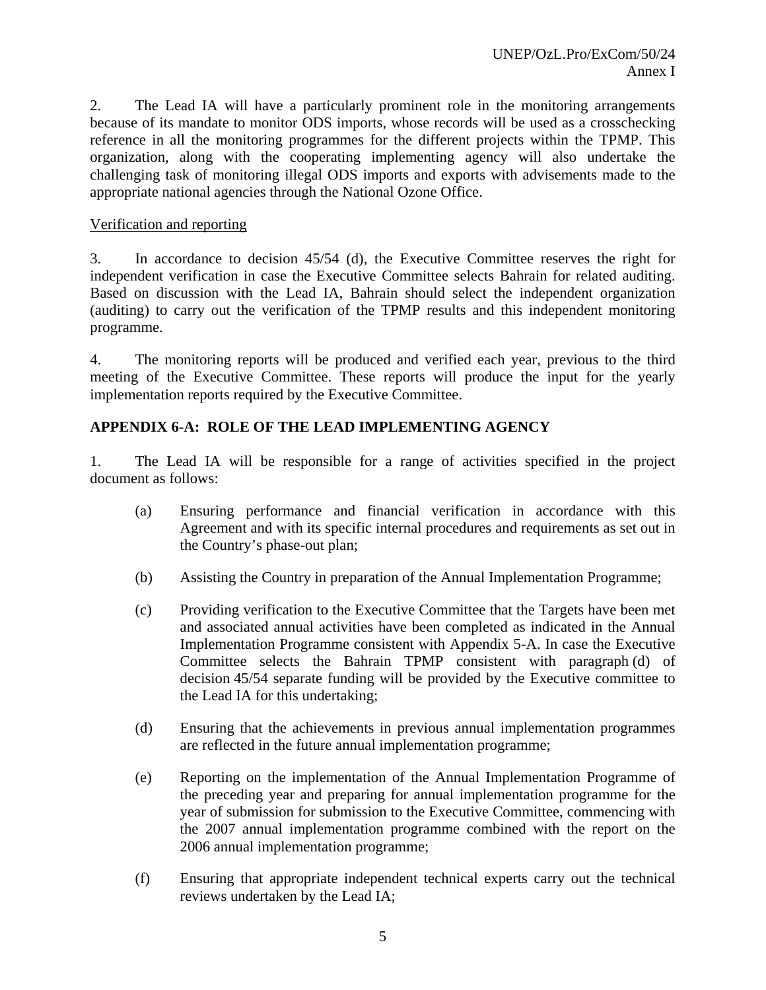2. The Lead IA will have a particularly prominent role in the monitoring arrangements because of its mandate to monitor ODS imports, whose records will be used as a crosschecking reference in all the monitoring programmes for the different projects within the TPMP. This organization, along with the cooperating implementing agency will also undertake the challenging task of monitoring illegal ODS imports and exports with advisements made to the appropriate national agencies through the National Ozone Office.

#### Verification and reporting

3. In accordance to decision 45/54 (d), the Executive Committee reserves the right for independent verification in case the Executive Committee selects Bahrain for related auditing. Based on discussion with the Lead IA, Bahrain should select the independent organization (auditing) to carry out the verification of the TPMP results and this independent monitoring programme.

4. The monitoring reports will be produced and verified each year, previous to the third meeting of the Executive Committee. These reports will produce the input for the yearly implementation reports required by the Executive Committee.

#### **APPENDIX 6-A: ROLE OF THE LEAD IMPLEMENTING AGENCY**

1. The Lead IA will be responsible for a range of activities specified in the project document as follows:

- (a) Ensuring performance and financial verification in accordance with this Agreement and with its specific internal procedures and requirements as set out in the Country's phase-out plan;
- (b) Assisting the Country in preparation of the Annual Implementation Programme;
- (c) Providing verification to the Executive Committee that the Targets have been met and associated annual activities have been completed as indicated in the Annual Implementation Programme consistent with Appendix 5-A. In case the Executive Committee selects the Bahrain TPMP consistent with paragraph (d) of decision 45/54 separate funding will be provided by the Executive committee to the Lead IA for this undertaking;
- (d) Ensuring that the achievements in previous annual implementation programmes are reflected in the future annual implementation programme;
- (e) Reporting on the implementation of the Annual Implementation Programme of the preceding year and preparing for annual implementation programme for the year of submission for submission to the Executive Committee, commencing with the 2007 annual implementation programme combined with the report on the 2006 annual implementation programme;
- (f) Ensuring that appropriate independent technical experts carry out the technical reviews undertaken by the Lead IA;